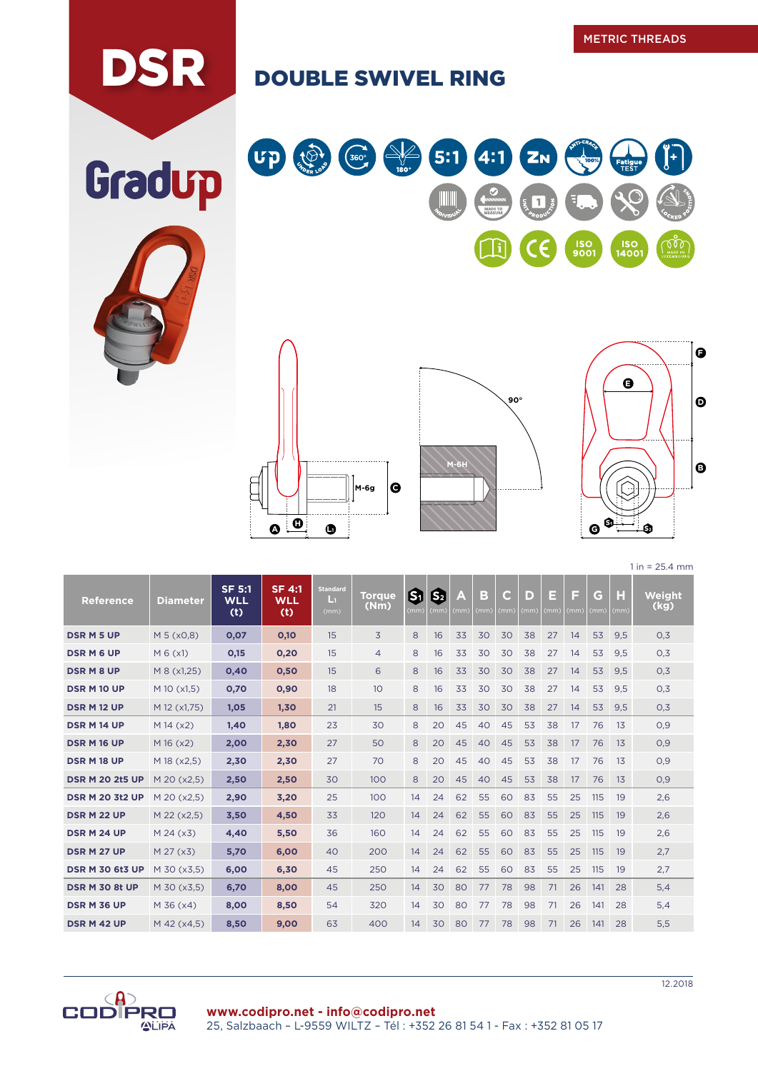## DSR DOUBLE SWIVEL RING









 $1 in = 25.4 mm$ 

and the company of the company

**COLLECTION** 

| <b>Reference</b>       | <b>Diameter</b> | $SF$ 5:1<br><b>WLL</b><br>(t) | <b>SF 4:1</b><br><b>WLL</b><br>(t) | <b>Standard</b><br>Ŀı<br>(mm) | <b>Torque</b><br>(Nm) | ශ<br>(mm) | 因<br>(mm) | A<br>(mm) | в<br>(mm) | a<br>(mm) | D<br>(mm | Е<br>(mm) | Е<br>(mm) | G<br>(mm) | H<br>(mm) | Weight<br>(kg) |
|------------------------|-----------------|-------------------------------|------------------------------------|-------------------------------|-----------------------|-----------|-----------|-----------|-----------|-----------|----------|-----------|-----------|-----------|-----------|----------------|
| <b>DSR M 5 UP</b>      | M 5 (x0,8)      | 0,07                          | 0,10                               | 15                            | 3                     | 8         | 16        | 33        | 30        | 30        | 38       | 27        | 14        | 53        | 9.5       | 0.3            |
| <b>DSRM6UP</b>         | M 6 (x1)        | 0,15                          | 0,20                               | 15                            | $\overline{4}$        | 8         | 16        | 33        | 30        | 30        | 38       | 27        | 14        | 53        | 9,5       | 0,3            |
| <b>DSRM8UP</b>         | M 8 (x1,25)     | 0,40                          | 0,50                               | 15                            | 6                     | 8         | 16        | 33        | 30        | 30        | 38       | 27        | 14        | 53        | 9,5       | 0,3            |
| <b>DSR M 10 UP</b>     | M 10 (x1,5)     | 0,70                          | 0,90                               | 18                            | 10                    | 8         | 16        | 33        | 30        | 30        | 38       | 27        | 14        | 53        | 9,5       | 0,3            |
| <b>DSR M12 UP</b>      | M 12 (x1,75)    | 1,05                          | 1,30                               | 21                            | 15                    | 8         | 16        | 33        | 30        | 30        | 38       | 27        | 14        | 53        | 9,5       | 0,3            |
| <b>DSR M14 UP</b>      | $M$ 14 ( $x2$ ) | 1,40                          | 1,80                               | 23                            | 30                    | 8         | 20        | 45        | 40        | 45        | 53       | 38        | 17        | 76        | 13        | 0,9            |
| <b>DSR M 16 UP</b>     | M16(x2)         | 2,00                          | 2,30                               | 27                            | 50                    | 8         | 20        | 45        | 40        | 45        | 53       | 38        | 17        | 76        | 13        | 0,9            |
| DSR M 18 UP            | M 18 (x2,5)     | 2,30                          | 2,30                               | 27                            | 70                    | 8         | 20        | 45        | 40        | 45        | 53       | 38        | 17        | 76        | 13        | 0,9            |
| <b>DSR M 20 2t5 UP</b> | M 20 (x2.5)     | 2,50                          | 2,50                               | 30                            | 100                   | 8         | 20        | 45        | 40        | 45        | 53       | 38        | 17        | 76        | 13        | 0,9            |
| <b>DSR M 20 3t2 UP</b> | M 20 (x2,5)     | 2,90                          | 3,20                               | 25                            | 100                   | 14        | 24        | 62        | 55        | 60        | 83       | 55        | 25        | 115       | 19        | 2,6            |
| <b>DSR M 22 UP</b>     | M 22 (x2,5)     | 3,50                          | 4,50                               | 33                            | 120                   | 14        | 24        | 62        | 55        | 60        | 83       | 55        | 25        | 115       | 19        | 2,6            |
| DSR M 24 UP            | M 24 (x3)       | 4,40                          | 5,50                               | 36                            | 160                   | 14        | 24        | 62        | 55        | 60        | 83       | 55        | 25        | 115       | 19        | 2,6            |
| <b>DSR M 27 UP</b>     | M 27 (x3)       | 5,70                          | 6,00                               | 40                            | 200                   | 14        | 24        | 62        | 55        | 60        | 83       | 55        | 25        | 115       | 19        | 2,7            |
| <b>DSR M 30 6t3 UP</b> | M 30 (x3,5)     | 6,00                          | 6,30                               | 45                            | 250                   | 14        | 24        | 62        | 55        | 60        | 83       | 55        | 25        | 115       | 19        | 2,7            |
| <b>DSR M 30 8t UP</b>  | M 30 (x3,5)     | 6,70                          | 8,00                               | 45                            | 250                   | 14        | 30        | 80        | 77        | 78        | 98       | 71        | 26        | 141       | 28        | 5,4            |
| <b>DSR M 36 UP</b>     | $M$ 36 ( $x$ 4) | 8,00                          | 8,50                               | 54                            | 320                   | 14        | 30        | 80        | 77        | 78        | 98       | 71        | 26        | 141       | 28        | 5,4            |
| DSR M 42 UP            | M 42 (x4,5)     | 8,50                          | 9,00                               | 63                            | 400                   | 14        | 30        | 80        | 77        | 78        | 98       | 71        | 26        | 141       | 28        | 5,5            |